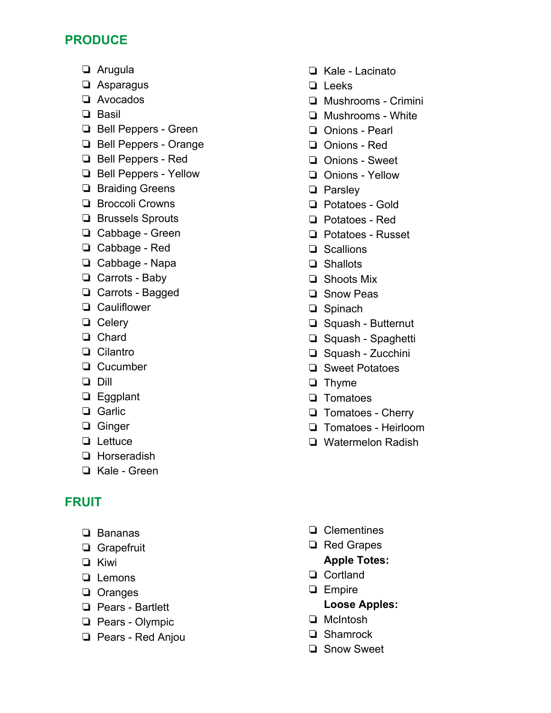# **PRODUCE**

- ❏ Arugula
- ❏ Asparagus
- ❏ Avocados
- ❏ Basil
- ❏ Bell Peppers Green
- ❏ Bell Peppers Orange
- ❏ Bell Peppers Red
- ❏ Bell Peppers Yellow
- ❏ Braiding Greens
- ❏ Broccoli Crowns
- ❏ Brussels Sprouts
- ❏ Cabbage Green
- ❏ Cabbage Red
- ❏ Cabbage Napa
- ❏ Carrots Baby
- ❏ Carrots Bagged
- ❏ Cauliflower
- ❏ Celery
- ❏ Chard
- ❏ Cilantro
- ❏ Cucumber
- ❏ Dill
- ❏ Eggplant
- ❏ Garlic
- ❏ Ginger
- ❏ Lettuce
- ❏ Horseradish
- ❏ Kale Green

# **FRUIT**

- ❏ Bananas
- ❏ Grapefruit
- ❏ Kiwi
- ❏ Lemons
- ❏ Oranges
- ❏ Pears Bartlett
- ❏ Pears Olympic
- ❏ Pears Red Anjou
- ❏ Kale Lacinato
- ❏ Leeks
- ❏ Mushrooms Crimini
- ❏ Mushrooms White
- ❏ Onions Pearl
- ❏ Onions Red
- ❏ Onions Sweet
- ❏ Onions Yellow
- ❏ Parsley
- ❏ Potatoes Gold
- ❏ Potatoes Red
- ❏ Potatoes Russet
- ❏ Scallions
- ❏ Shallots
- ❏ Shoots Mix
- ❏ Snow Peas
- ❏ Spinach
- ❏ Squash Butternut
- ❏ Squash Spaghetti
- ❏ Squash Zucchini
- ❏ Sweet Potatoes
- ❏ Thyme
- ❏ Tomatoes
- ❏ Tomatoes Cherry
- ❏ Tomatoes Heirloom
- ❏ Watermelon Radish

- ❏ Clementines
- ❏ Red Grapes **Apple Totes:**
- ❏ Cortland
- ❏ Empire
	- **Loose Apples:**
- ❏ McIntosh
- ❏ Shamrock
- ❏ Snow Sweet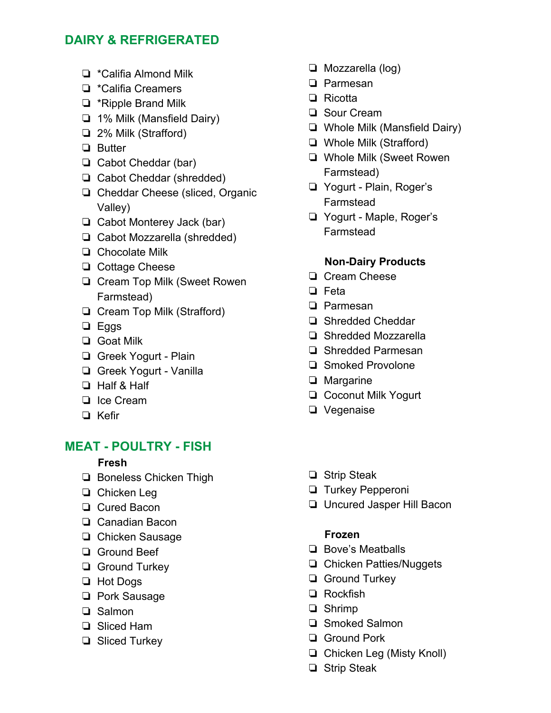# **DAIRY & REFRIGERATED**

- ❏ \*Califia Almond Milk
- ❏ \*Califia Creamers
- ❏ \*Ripple Brand Milk
- ❏ 1% Milk (Mansfield Dairy)
- ❏ 2% Milk (Strafford)
- ❏ Butter
- ❏ Cabot Cheddar (bar)
- ❏ Cabot Cheddar (shredded)
- ❏ Cheddar Cheese (sliced, Organic Valley)
- ❏ Cabot Monterey Jack (bar)
- ❏ Cabot Mozzarella (shredded)
- ❏ Chocolate Milk
- ❏ Cottage Cheese
- ❏ Cream Top Milk (Sweet Rowen Farmstead)
- ❏ Cream Top Milk (Strafford)
- ❏ Eggs
- ❏ Goat Milk
- ❏ Greek Yogurt Plain
- ❏ Greek Yogurt Vanilla
- ❏ Half & Half
- ❏ Ice Cream
- ❏ Kefir

# **MEAT - POULTRY - FISH**

### **Fresh**

- ❏ Boneless Chicken Thigh
- ❏ Chicken Leg
- ❏ Cured Bacon
- ❏ Canadian Bacon
- ❏ Chicken Sausage
- ❏ Ground Beef
- ❏ Ground Turkey
- ❏ Hot Dogs
- ❏ Pork Sausage
- ❏ Salmon
- ❏ Sliced Ham
- ❏ Sliced Turkey
- ❏ Mozzarella (log)
- ❏ Parmesan
- ❏ Ricotta
- ❏ Sour Cream
- ❏ Whole Milk (Mansfield Dairy)
- ❏ Whole Milk (Strafford)
- ❏ Whole Milk (Sweet Rowen Farmstead)
- ❏ Yogurt Plain, Roger's Farmstead
- ❏ Yogurt Maple, Roger's Farmstead

#### **Non-Dairy Products**

- ❏ Cream Cheese
- ❏ Feta
- ❏ Parmesan
- ❏ Shredded Cheddar
- ❏ Shredded Mozzarella
- ❏ Shredded Parmesan
- ❏ Smoked Provolone
- ❏ Margarine
- ❏ Coconut Milk Yogurt
- ❏ Vegenaise
- ❏ Strip Steak
- ❏ Turkey Pepperoni
- ❏ Uncured Jasper Hill Bacon

#### **Frozen**

- ❏ Bove's Meatballs
- ❏ Chicken Patties/Nuggets
- ❏ Ground Turkey
- ❏ Rockfish
- ❏ Shrimp
- ❏ Smoked Salmon
- ❏ Ground Pork
- ❏ Chicken Leg (Misty Knoll)
- ❏ Strip Steak